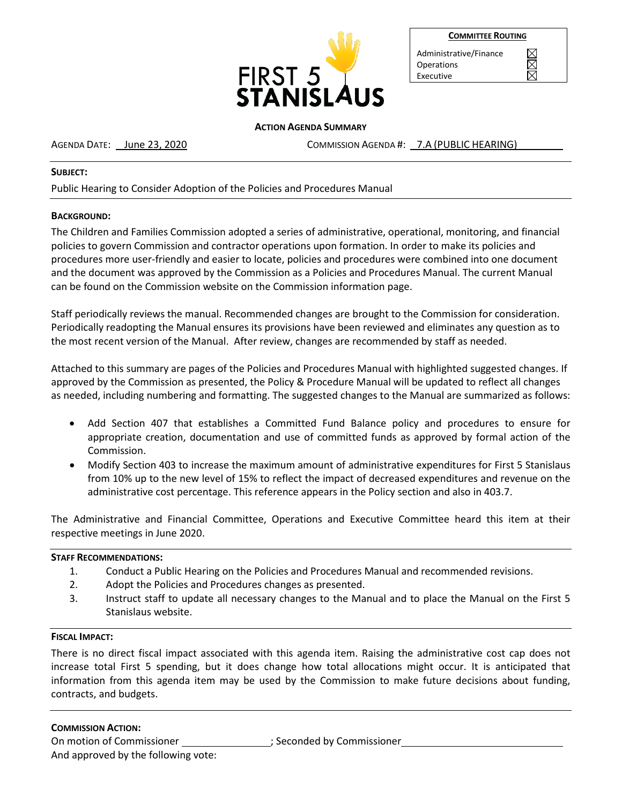

|--|

 $\boxtimes$ 

Administrative/Finance Operations Executive

#### **ACTION AGENDA SUMMARY**

AGENDA DATE: June 23, 2020 COMMISSION AGENDA #: 7.A (PUBLIC HEARING)

#### **SUBJECT:**

Public Hearing to Consider Adoption of the Policies and Procedures Manual

## **BACKGROUND:**

The Children and Families Commission adopted a series of administrative, operational, monitoring, and financial policies to govern Commission and contractor operations upon formation. In order to make its policies and procedures more user-friendly and easier to locate, policies and procedures were combined into one document and the document was approved by the Commission as a Policies and Procedures Manual. The current Manual can be found on the Commission website on the Commission information page.

Staff periodically reviews the manual. Recommended changes are brought to the Commission for consideration. Periodically readopting the Manual ensures its provisions have been reviewed and eliminates any question as to the most recent version of the Manual. After review, changes are recommended by staff as needed.

Attached to this summary are pages of the Policies and Procedures Manual with highlighted suggested changes. If approved by the Commission as presented, the Policy & Procedure Manual will be updated to reflect all changes as needed, including numbering and formatting. The suggested changes to the Manual are summarized as follows:

- Add Section 407 that establishes a Committed Fund Balance policy and procedures to ensure for appropriate creation, documentation and use of committed funds as approved by formal action of the Commission.
- Modify Section 403 to increase the maximum amount of administrative expenditures for First 5 Stanislaus from 10% up to the new level of 15% to reflect the impact of decreased expenditures and revenue on the administrative cost percentage. This reference appears in the Policy section and also in 403.7.

The Administrative and Financial Committee, Operations and Executive Committee heard this item at their respective meetings in June 2020.

### **STAFF RECOMMENDATIONS:**

- 1. Conduct a Public Hearing on the Policies and Procedures Manual and recommended revisions.
- 2. Adopt the Policies and Procedures changes as presented.
- 3. Instruct staff to update all necessary changes to the Manual and to place the Manual on the First 5 Stanislaus website.

### **FISCAL IMPACT:**

There is no direct fiscal impact associated with this agenda item. Raising the administrative cost cap does not increase total First 5 spending, but it does change how total allocations might occur. It is anticipated that information from this agenda item may be used by the Commission to make future decisions about funding, contracts, and budgets.

### **COMMISSION ACTION:**

On motion of Commissioner ; Seconded by Commissioner

And approved by the following vote: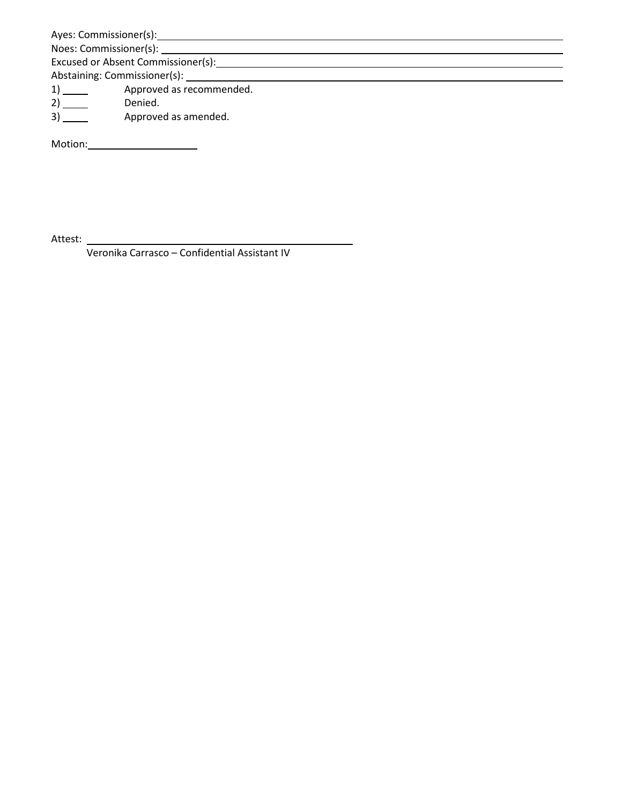Ayes: Commissioner(s): 2008 - 2008 - 2014 - 2014 - 2014 - 2014 - 2014 - 2014 - 2014 - 2014 - 2014 - 2014 - 2014 - 2014 - 2014 - 2014 - 2014 - 2014 - 2014 - 2014 - 2014 - 2014 - 2014 - 2014 - 2014 - 2014 - 2014 - 2014 - 201

Noes: Commissioner(s): Excused or Absent Commissioner(s): <u>Excused or Absent Commissioner(s</u>):

Abstaining: Commissioner(s): \_\_\_\_\_\_\_

1) 1 Approved as recommended.

2) Denied.

3) Approved as amended.

Motion:

Attest:

Veronika Carrasco – Confidential Assistant IV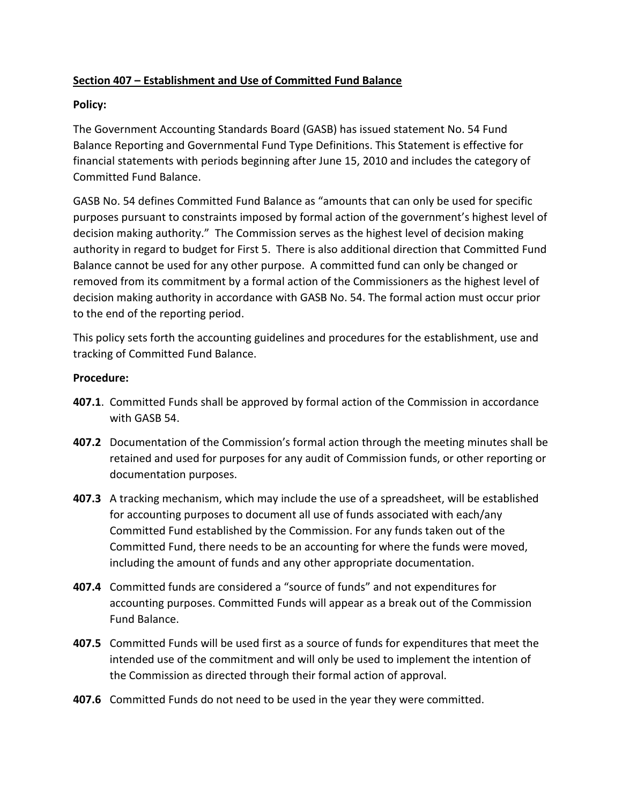# **Section 407 – Establishment and Use of Committed Fund Balance**

# **Policy:**

The Government Accounting Standards Board (GASB) has issued statement No. 54 Fund Balance Reporting and Governmental Fund Type Definitions. This Statement is effective for financial statements with periods beginning after June 15, 2010 and includes the category of Committed Fund Balance.

GASB No. 54 defines Committed Fund Balance as "amounts that can only be used for specific purposes pursuant to constraints imposed by formal action of the government's highest level of decision making authority." The Commission serves as the highest level of decision making authority in regard to budget for First 5. There is also additional direction that Committed Fund Balance cannot be used for any other purpose. A committed fund can only be changed or removed from its commitment by a formal action of the Commissioners as the highest level of decision making authority in accordance with GASB No. 54. The formal action must occur prior to the end of the reporting period.

This policy sets forth the accounting guidelines and procedures for the establishment, use and tracking of Committed Fund Balance.

# **Procedure:**

- **407.1**. Committed Funds shall be approved by formal action of the Commission in accordance with GASB 54.
- **407.2** Documentation of the Commission's formal action through the meeting minutes shall be retained and used for purposes for any audit of Commission funds, or other reporting or documentation purposes.
- **407.3** A tracking mechanism, which may include the use of a spreadsheet, will be established for accounting purposes to document all use of funds associated with each/any Committed Fund established by the Commission. For any funds taken out of the Committed Fund, there needs to be an accounting for where the funds were moved, including the amount of funds and any other appropriate documentation.
- **407.4** Committed funds are considered a "source of funds" and not expenditures for accounting purposes. Committed Funds will appear as a break out of the Commission Fund Balance.
- **407.5** Committed Funds will be used first as a source of funds for expenditures that meet the intended use of the commitment and will only be used to implement the intention of the Commission as directed through their formal action of approval.
- **407.6** Committed Funds do not need to be used in the year they were committed.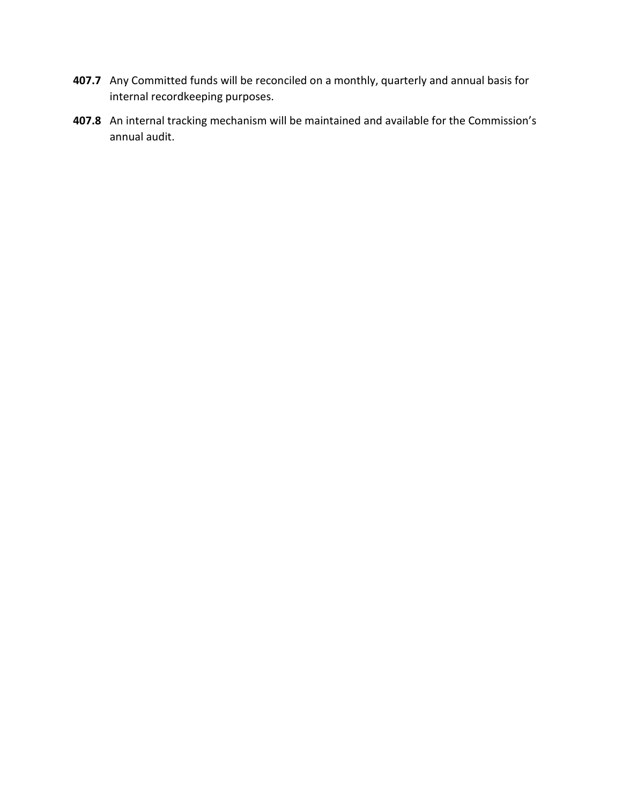- **407.7** Any Committed funds will be reconciled on a monthly, quarterly and annual basis for internal recordkeeping purposes.
- **407.8** An internal tracking mechanism will be maintained and available for the Commission's annual audit.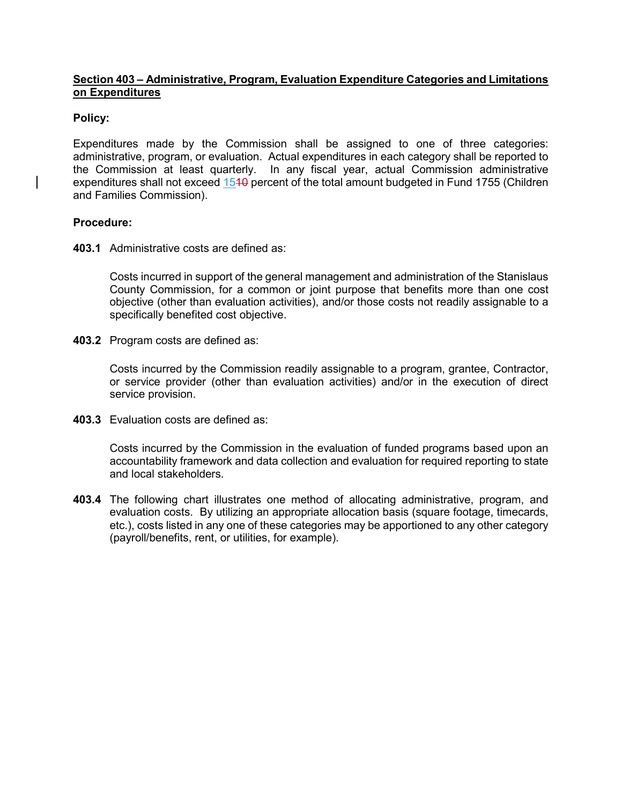## **Section 403 – Administrative, Program, Evaluation Expenditure Categories and Limitations on Expenditures**

## **Policy:**

Expenditures made by the Commission shall be assigned to one of three categories: administrative, program, or evaluation. Actual expenditures in each category shall be reported to the Commission at least quarterly. In any fiscal year, actual Commission administrative expenditures shall not exceed 1540 percent of the total amount budgeted in Fund 1755 (Children and Families Commission).

## **Procedure:**

**403.1** Administrative costs are defined as:

Costs incurred in support of the general management and administration of the Stanislaus County Commission, for a common or joint purpose that benefits more than one cost objective (other than evaluation activities), and/or those costs not readily assignable to a specifically benefited cost objective.

**403.2** Program costs are defined as:

Costs incurred by the Commission readily assignable to a program, grantee, Contractor, or service provider (other than evaluation activities) and/or in the execution of direct service provision.

**403.3** Evaluation costs are defined as:

Costs incurred by the Commission in the evaluation of funded programs based upon an accountability framework and data collection and evaluation for required reporting to state and local stakeholders.

**403.4** The following chart illustrates one method of allocating administrative, program, and evaluation costs. By utilizing an appropriate allocation basis (square footage, timecards, etc.), costs listed in any one of these categories may be apportioned to any other category (payroll/benefits, rent, or utilities, for example).